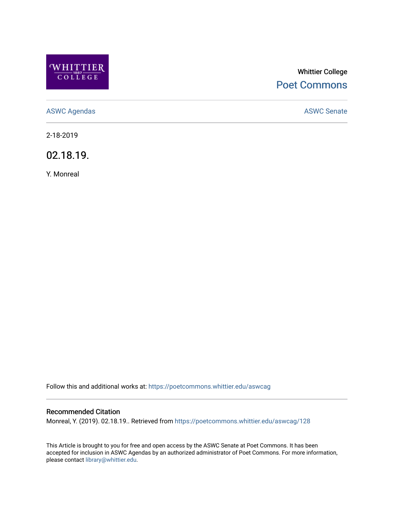

# Whittier College [Poet Commons](https://poetcommons.whittier.edu/)

[ASWC Agendas](https://poetcommons.whittier.edu/aswcag) **ASWC Senate** 

2-18-2019

02.18.19.

Y. Monreal

Follow this and additional works at: [https://poetcommons.whittier.edu/aswcag](https://poetcommons.whittier.edu/aswcag?utm_source=poetcommons.whittier.edu%2Faswcag%2F128&utm_medium=PDF&utm_campaign=PDFCoverPages) 

## Recommended Citation

Monreal, Y. (2019). 02.18.19.. Retrieved from [https://poetcommons.whittier.edu/aswcag/128](https://poetcommons.whittier.edu/aswcag/128?utm_source=poetcommons.whittier.edu%2Faswcag%2F128&utm_medium=PDF&utm_campaign=PDFCoverPages) 

This Article is brought to you for free and open access by the ASWC Senate at Poet Commons. It has been accepted for inclusion in ASWC Agendas by an authorized administrator of Poet Commons. For more information, please contact [library@whittier.edu](mailto:library@whittier.edu).